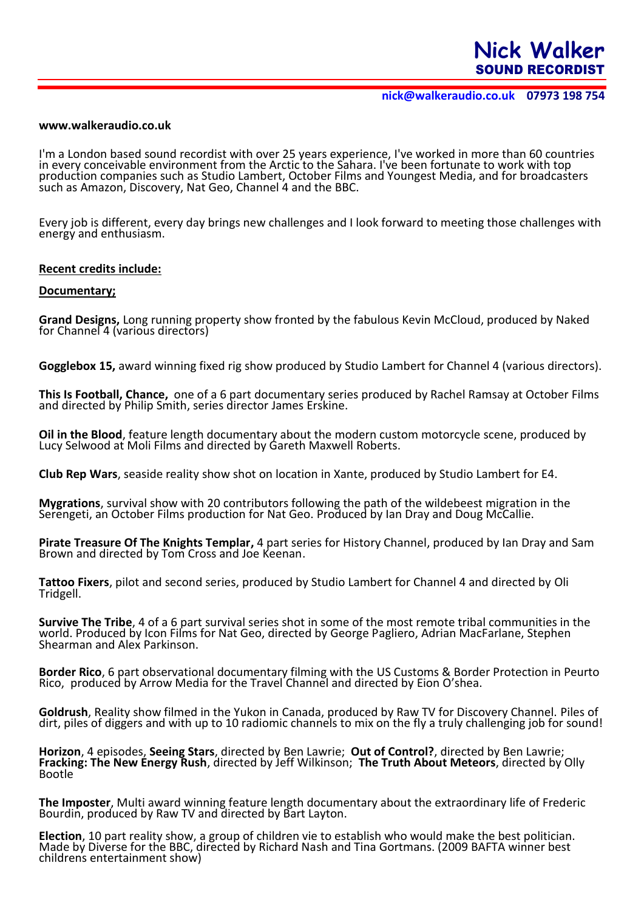**nick@walkeraudio.co.uk 07973 198 754**

## **www.walkeraudio.co.uk**

I'm a London based sound recordist with over 25 years experience, I've worked in more than 60 countries in every conceivable environment from the Arctic to the Sahara. I've been fortunate to work with top production companies such as Studio Lambert, October Films and Youngest Media, and for broadcasters such as Amazon, Discovery, Nat Geo, Channel 4 and the BBC.

Every job is different, every day brings new challenges and I look forward to meeting those challenges with energy and enthusiasm.

### **Recent credits include:**

#### **Documentary;**

**Grand Designs,** Long running property show fronted by the fabulous Kevin McCloud, produced by Naked for Channel 4 (various directors)

**Gogglebox 15,** award winning fixed rig show produced by Studio Lambert for Channel 4 (various directors).

**This Is Football, Chance,** one of a 6 part documentary series produced by Rachel Ramsay at October Films and directed by Philip Smith, series director James Erskine.

**Oil in the Blood**, feature length documentary about the modern custom motorcycle scene, produced by Lucy Selwood at Moli Films and directed by Gareth Maxwell Roberts.

**Club Rep Wars**, seaside reality show shot on location in Xante, produced by Studio Lambert for E4.

**Mygrations**, survival show with 20 contributors following the path of the wildebeest migration in the Serengeti, an October Films production for Nat Geo. Produced by Ian Dray and Doug McCallie.

**Pirate Treasure Of The Knights Templar,** 4 part series for History Channel, produced by Ian Dray and Sam Brown and directed by Tom Cross and Joe Keenan.

**Tattoo Fixers**, pilot and second series, produced by Studio Lambert for Channel 4 and directed by Oli Tridgell.

**Survive The Tribe**, 4 of a 6 part survival series shot in some of the most remote tribal communities in the world. Produced by Icon Films for Nat Geo, directed by George Pagliero, Adrian MacFarlane, Stephen Shearman and Alex Parkinson.

**Border Rico**, 6 part observational documentary filming with the US Customs & Border Protection in Peurto Rico, produced by Arrow Media for the Travel Channel and directed by Eion O'shea.

**Goldrush**, Reality show filmed in the Yukon in Canada, produced by Raw TV for Discovery Channel. Piles of dirt, piles of diggers and with up to 10 radiomic channels to mix on the fly a truly challenging job for sound!

**Horizon**, 4 episodes, **Seeing Stars**, directed by Ben Lawrie; **Out of Control?**, directed by Ben Lawrie; **Fracking: The New Energy Rush**, directed by Jeff Wilkinson; **The Truth About Meteors**, directed by Olly Bootle

**The Imposter**, Multi award winning feature length documentary about the extraordinary life of Frederic Bourdin, produced by Raw TV and directed by Bart Layton.

**Election**, 10 part reality show, a group of children vie to establish who would make the best politician. Made by Diverse for the BBC, directed by Richard Nash and Tina Gortmans. (2009 BAFTA winner best childrens entertainment show)